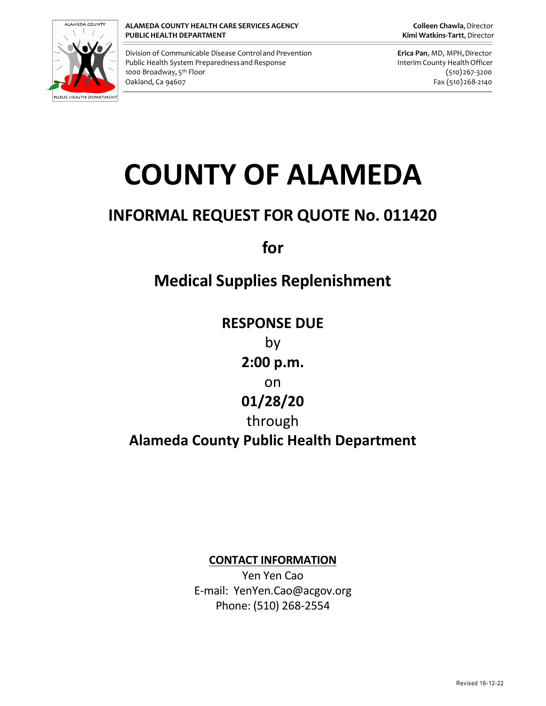

Division of Communicable Disease Controland Prevention **Erica Pan**, MD, MPH,Director Public Health System Preparedness and Response **Interim County Health Officer** Public Health Officer 1000 Broadway, 5<sup>th</sup> Floor Oakland, Ca 94607 Fax (510)268-2140

(510)267-3200

# **COUNTY OF ALAMEDA**

# **INFORMAL REQUEST FOR QUOTE No. 011420**

**for**

# **Medical Supplies Replenishment**

**RESPONSE DUE** by **2:00 p.m.** on **01/28/20** through **Alameda County Public Health Department**

**CONTACT INFORMATION**

Yen Yen Cao E-mail: YenYen.Cao@acgov.org Phone: (510) 268-2554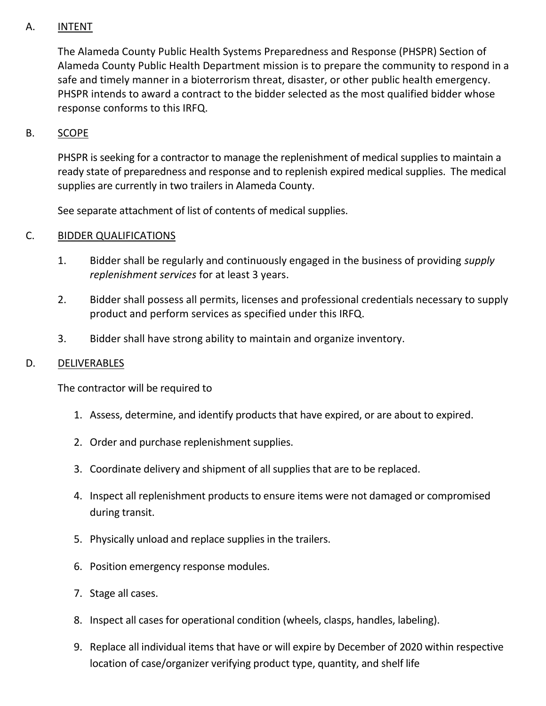## A. INTENT

The Alameda County Public Health Systems Preparedness and Response (PHSPR) Section of Alameda County Public Health Department mission is to prepare the community to respond in a safe and timely manner in a bioterrorism threat, disaster, or other public health emergency. PHSPR intends to award a contract to the bidder selected as the most qualified bidder whose response conforms to this IRFQ.

#### B. SCOPE

PHSPR is seeking for a contractor to manage the replenishment of medical supplies to maintain a ready state of preparedness and response and to replenish expired medical supplies. The medical supplies are currently in two trailers in Alameda County.

See separate attachment of list of contents of medical supplies.

#### C. BIDDER QUALIFICATIONS

- 1. Bidder shall be regularly and continuously engaged in the business of providing *supply replenishment services* for at least 3 years.
- 2. Bidder shall possess all permits, licenses and professional credentials necessary to supply product and perform services as specified under this IRFQ.
- 3. Bidder shall have strong ability to maintain and organize inventory.

#### D. DELIVERABLES

The contractor will be required to

- 1. Assess, determine, and identify products that have expired, or are about to expired.
- 2. Order and purchase replenishment supplies.
- 3. Coordinate delivery and shipment of all supplies that are to be replaced.
- 4. Inspect all replenishment products to ensure items were not damaged or compromised during transit.
- 5. Physically unload and replace supplies in the trailers.
- 6. Position emergency response modules.
- 7. Stage all cases.
- 8. Inspect all cases for operational condition (wheels, clasps, handles, labeling).
- 9. Replace all individual items that have or will expire by December of 2020 within respective location of case/organizer verifying product type, quantity, and shelf life